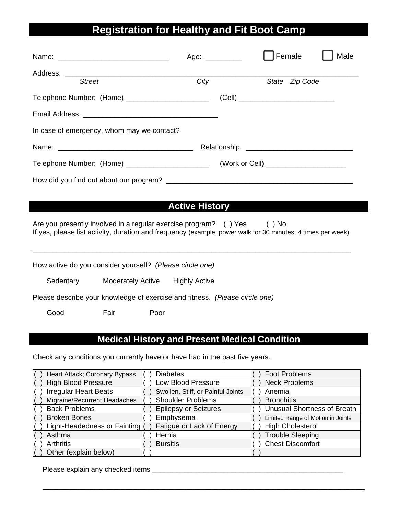# **Registration for Healthy and Fit Boot Camp**

|                                                   | Age: $\_\_$ |                                           | Female         | Male |
|---------------------------------------------------|-------------|-------------------------------------------|----------------|------|
| <b>Street</b>                                     | City        |                                           | State Zip Code |      |
| Telephone Number: (Home) ________________________ |             | (Cell) __________________________________ |                |      |
|                                                   |             |                                           |                |      |
| In case of emergency, whom may we contact?        |             |                                           |                |      |
|                                                   |             |                                           |                |      |
| Telephone Number: (Home) ________________________ |             | (Work or Cell) _________________________  |                |      |
|                                                   |             |                                           |                |      |

## **Active History**

Are you presently involved in a regular exercise program? () Yes () No If yes, please list activity, duration and frequency (example: power walk for 30 minutes, 4 times per week)

| How active do you consider yourself? (Please circle one) |      |                          |                                                                             |
|----------------------------------------------------------|------|--------------------------|-----------------------------------------------------------------------------|
| Sedentary                                                |      | <b>Moderately Active</b> | <b>Highly Active</b>                                                        |
|                                                          |      |                          | Please describe your knowledge of exercise and fitness. (Please circle one) |
| Good                                                     | Fair | Poor                     |                                                                             |

### **Medical History and Present Medical Condition**

Check any conditions you currently have or have had in the past five years.

| Heart Attack; Coronary Bypass  | <b>Diabetes</b>                   | <b>Foot Problems</b>               |
|--------------------------------|-----------------------------------|------------------------------------|
| <b>High Blood Pressure</b>     | <b>Low Blood Pressure</b>         | <b>Neck Problems</b>               |
| <b>Irregular Heart Beats</b>   | Swollen, Stiff, or Painful Joints | Anemia                             |
| Migraine/Recurrent Headaches   | <b>Shoulder Problems</b>          | <b>Bronchitis</b>                  |
| <b>Back Problems</b>           | <b>Epilepsy or Seizures</b>       | <b>Unusual Shortness of Breath</b> |
| <b>Broken Bones</b>            | Emphysema                         | Limited Range of Motion in Joints  |
| Light-Headedness or Fainting ( | Fatigue or Lack of Energy         | <b>High Cholesterol</b>            |
| Asthma                         | Hernia                            | <b>Trouble Sleeping</b>            |
| <b>Arthritis</b>               | <b>Bursitis</b>                   | <b>Chest Discomfort</b>            |
| Other (explain below)          |                                   |                                    |

\_\_\_\_\_\_\_\_\_\_\_\_\_\_\_\_\_\_\_\_\_\_\_\_\_\_\_\_\_\_\_\_\_\_\_\_\_\_\_\_\_\_\_\_\_\_\_\_\_\_\_\_\_\_\_\_\_\_\_\_\_\_\_\_\_\_\_\_\_\_\_\_\_\_\_\_\_\_\_\_\_

Please explain any checked items \_\_\_\_\_\_\_\_\_\_\_\_\_\_\_\_\_\_\_\_\_\_\_\_\_\_\_\_\_\_\_\_\_\_\_\_\_\_\_\_\_\_\_\_\_\_\_\_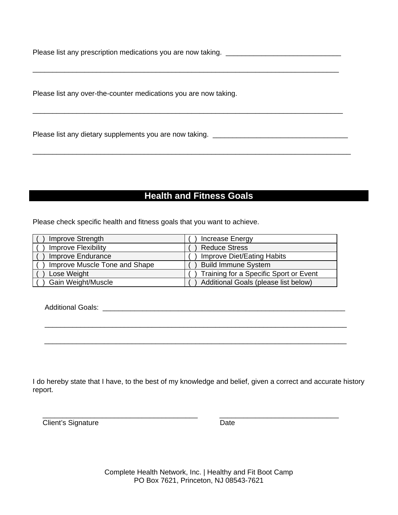Please list any over-the-counter medications you are now taking.

### **Health and Fitness Goals**

Please check specific health and fitness goals that you want to achieve.

| Improve Strength              | Increase Energy                        |
|-------------------------------|----------------------------------------|
| <b>Improve Flexibility</b>    | <b>Reduce Stress</b>                   |
| Improve Endurance             | Improve Diet/Eating Habits             |
| Improve Muscle Tone and Shape | <b>Build Immune System</b>             |
| Lose Weight                   | Training for a Specific Sport or Event |
| Gain Weight/Muscle            | Additional Goals (please list below)   |

I do hereby state that I have, to the best of my knowledge and belief, given a correct and accurate history report.

**Client's Signature** 

Date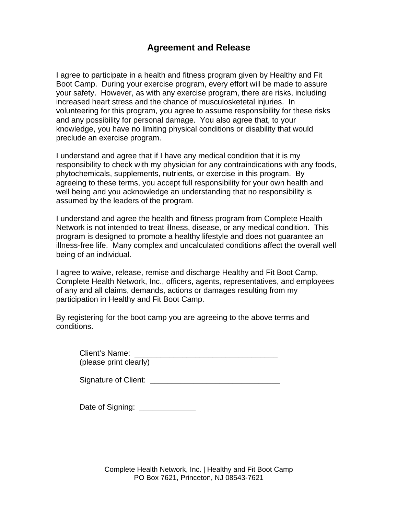## **Agreement and Release**

I agree to participate in a health and fitness program given by Healthy and Fit Boot Camp. During your exercise program, every effort will be made to assure your safety. However, as with any exercise program, there are risks, including increased heart stress and the chance of musculosketetal injuries. In volunteering for this program, you agree to assume responsibility for these risks and any possibility for personal damage. You also agree that, to your knowledge, you have no limiting physical conditions or disability that would preclude an exercise program.

I understand and agree that if I have any medical condition that it is my responsibility to check with my physician for any contraindications with any foods, phytochemicals, supplements, nutrients, or exercise in this program. By agreeing to these terms, you accept full responsibility for your own health and well being and you acknowledge an understanding that no responsibility is assumed by the leaders of the program.

I understand and agree the health and fitness program from Complete Health Network is not intended to treat illness, disease, or any medical condition. This program is designed to promote a healthy lifestyle and does not quarantee an illness-free life. Many complex and uncalculated conditions affect the overall well being of an individual.

I agree to waive, release, remise and discharge Healthy and Fit Boot Camp, Complete Health Network, Inc., officers, agents, representatives, and employees of any and all claims, demands, actions or damages resulting from my participation in Healthy and Fit Boot Camp.

By registering for the boot camp you are agreeing to the above terms and conditions.

| Client's Name:         |  |
|------------------------|--|
| (please print clearly) |  |

| <b>Signature of Client:</b> |  |
|-----------------------------|--|
|-----------------------------|--|

Date of Signing: \_\_\_\_\_\_\_\_\_\_\_\_\_

Complete Health Network, Inc. | Healthy and Fit Boot Camp PO Box 7621, Princeton, NJ 08543-7621